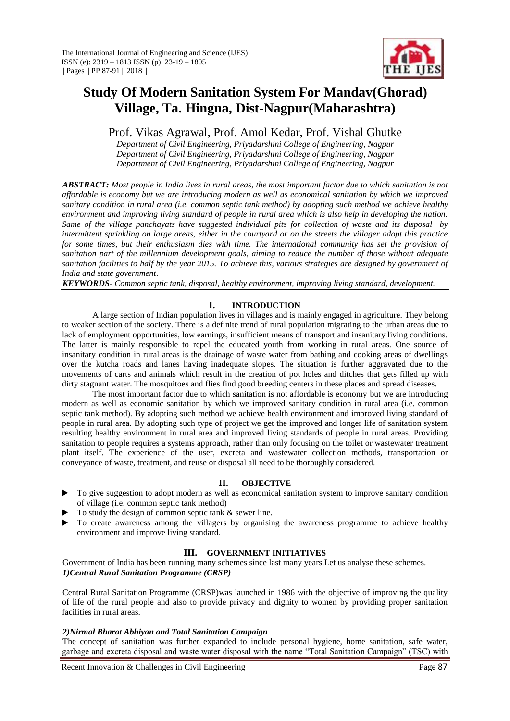

# **Study Of Modern Sanitation System For Mandav(Ghorad) Village, Ta. Hingna, Dist-Nagpur(Maharashtra)**

Prof. Vikas Agrawal, Prof. Amol Kedar, Prof. Vishal Ghutke

*Department of Civil Engineering, Priyadarshini College of Engineering, Nagpur Department of Civil Engineering, Priyadarshini College of Engineering, Nagpur Department of Civil Engineering, Priyadarshini College of Engineering, Nagpur*

*ABSTRACT: Most people in India lives in rural areas, the most important factor due to which sanitation is not affordable is economy but we are introducing modern as well as economical sanitation by which we improved sanitary condition in rural area (i.e. common septic tank method) by adopting such method we achieve healthy environment and improving living standard of people in rural area which is also help in developing the nation. Same of the village panchayats have suggested individual pits for collection of waste and its disposal by intermittent sprinkling on large areas, either in the courtyard or on the streets the villager adopt this practice for some times, but their enthusiasm dies with time. The international community has set the provision of sanitation part of the millennium development goals, aiming to reduce the number of those without adequate sanitation facilities to half by the year 2015. To achieve this, various strategies are designed by government of India and state government*.

*KEYWORDS- Common septic tank, disposal, healthy environment, improving living standard, development.*

# **I. INTRODUCTION**

A large section of Indian population lives in villages and is mainly engaged in agriculture. They belong to weaker section of the society. There is a definite trend of rural population migrating to the urban areas due to lack of employment opportunities, low earnings, insufficient means of transport and insanitary living conditions. The latter is mainly responsible to repel the educated youth from working in rural areas. One source of insanitary condition in rural areas is the drainage of waste water from bathing and cooking areas of dwellings over the kutcha roads and lanes having inadequate slopes. The situation is further aggravated due to the movements of carts and animals which result in the creation of pot holes and ditches that gets filled up with dirty stagnant water. The mosquitoes and flies find good breeding centers in these places and spread diseases.

The most important factor due to which sanitation is not affordable is economy but we are introducing modern as well as economic sanitation by which we improved sanitary condition in rural area (i.e. common septic tank method). By adopting such method we achieve health environment and improved living standard of people in rural area. By adopting such type of project we get the improved and longer life of sanitation system resulting healthy environment in rural area and improved living standards of people in rural areas. Providing sanitation to people requires a systems approach, rather than only focusing on the toilet or wastewater treatment plant itself. The experience of the user, excreta and wastewater collection methods, transportation or conveyance of waste, treatment, and reuse or disposal all need to be thoroughly considered.

# **II. OBJECTIVE**

- $\triangleright$  To give suggestion to adopt modern as well as economical sanitation system to improve sanitary condition of village (i.e. common septic tank method)
- To study the design of common septic tank & sewer line.
- $\blacktriangleright$  To create awareness among the villagers by organising the awareness programme to achieve healthy environment and improve living standard.

# **III. GOVERNMENT INITIATIVES**

Government of India has been running many schemes since last many years.Let us analyse these schemes. *1)Central Rural Sanitation Programme (CRSP)*

Central Rural Sanitation Programme (CRSP)was launched in 1986 with the objective of improving the quality of life of the rural people and also to provide privacy and dignity to women by providing proper sanitation facilities in rural areas.

## *2)Nirmal Bharat Abhiyan and Total Sanitation Campaign*

The concept of sanitation was further expanded to include personal hygiene, home sanitation, safe water, garbage and excreta disposal and waste water disposal with the name "Total Sanitation Campaign" (TSC) with

Recent Innovation & Challenges in Civil Engineering Page 87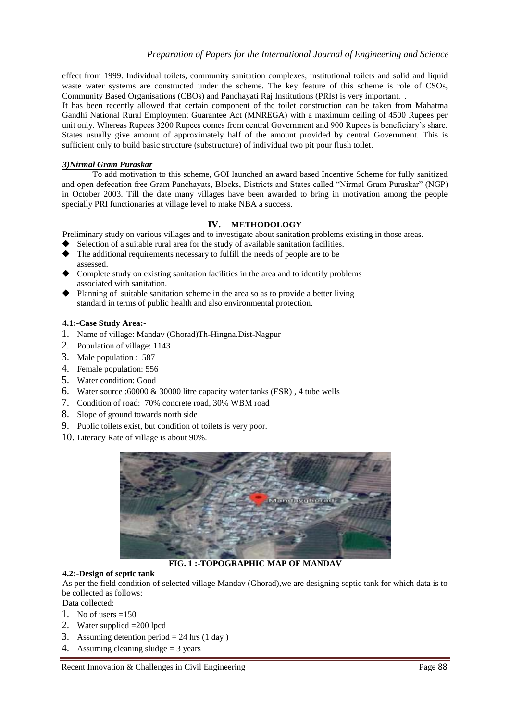effect from 1999. Individual toilets, community sanitation complexes, institutional toilets and solid and liquid waste water systems are constructed under the scheme. The key feature of this scheme is role of CSOs, Community Based Organisations (CBOs) and Panchayati Raj Institutions (PRIs) is very important.

It has been recently allowed that certain component of the toilet construction can be taken from Mahatma Gandhi National Rural Employment Guarantee Act (MNREGA) with a maximum ceiling of 4500 Rupees per unit only. Whereas Rupees 3200 Rupees comes from central Government and 900 Rupees is beneficiary's share. States usually give amount of approximately half of the amount provided by central Government. This is sufficient only to build basic structure (substructure) of individual two pit pour flush toilet.

## *3)Nirmal Gram Puraskar*

To add motivation to this scheme, GOI launched an award based Incentive Scheme for fully sanitized and open defecation free Gram Panchayats, Blocks, Districts and States called "Nirmal Gram Puraskar" (NGP) in October 2003. Till the date many villages have been awarded to bring in motivation among the people specially PRI functionaries at village level to make NBA a success.

# **IV. METHODOLOGY**

Preliminary study on various villages and to investigate about sanitation problems existing in those areas.

- Selection of a suitable rural area for the study of available sanitation facilities.
- The additional requirements necessary to fulfill the needs of people are to be assessed.
- Complete study on existing sanitation facilities in the area and to identify problems associated with sanitation.
- Planning of suitable sanitation scheme in the area so as to provide a better living standard in terms of public health and also environmental protection.

### **4.1:-Case Study Area:-**

- 1. Name of village: Mandav (Ghorad)Th-Hingna.Dist-Nagpur
- 2. Population of village: 1143
- 3. Male population : 587
- 4. Female population: 556
- 5. Water condition: Good
- 6. Water source :60000 & 30000 litre capacity water tanks (ESR) , 4 tube wells
- 7. Condition of road: 70% concrete road, 30% WBM road
- 8. Slope of ground towards north side
- 9. Public toilets exist, but condition of toilets is very poor.
- 10. Literacy Rate of village is about 90%.



**FIG. 1 :-TOPOGRAPHIC MAP OF MANDAV**

### **4.2:-Design of septic tank**

As per the field condition of selected village Mandav (Ghorad),we are designing septic tank for which data is to be collected as follows:

- Data collected:
- 1. No of users  $=150$
- 2. Water supplied =200 lpcd
- 3. Assuming detention period = 24 hrs (1 day)
- 4. Assuming cleaning sludge = 3 years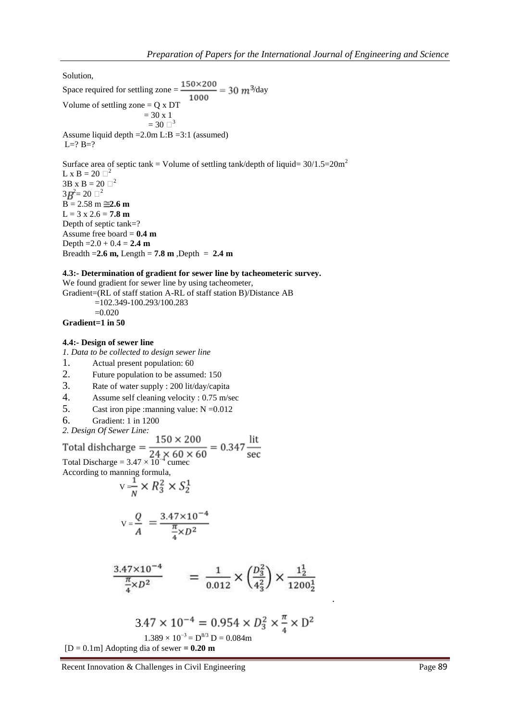Solution,

Space required for settling zone =  $\frac{150 \times 200}{1000}$  = 30 m<sup>3</sup>/day Volume of settling zone  $= Q \times DT$  $= 30 \times 1$  $= 30 \square^3$ Assume liquid depth =2.0m L:B =3:1 (assumed)  $L=? B=?$ 

Surface area of septic tank = Volume of settling tank/depth of liquid=  $30/1.5=20$ m<sup>2</sup> L x B = 20  $\Box^2$  $3B \times B = 20 \square^2$  $3B^2 = 20 \square^2$  $B = 2.58 \text{ m} \equiv 2.6 \text{ m}$  $L = 3 \times 2.6 = 7.8 \text{ m}$ Depth of septic tank=? Assume free board = **0.4 m** Depth =  $2.0 + 0.4 = 2.4$  m Breadth =  $2.6$  m, Length =  $7.8$  m, Depth =  $2.4$  m

#### **4.3:- Determination of gradient for sewer line by tacheometeric survey.**

We found gradient for sewer line by using tacheometer, Gradient=(RL of staff station A-RL of staff station B)/Distance AB =102.349-100.293/100.283

$$
=0.020
$$

# **Gradient=1 in 50**

## **4.4:- Design of sewer line**

*1. Data to be collected to design sewer line* 

- 1. Actual present population: 60<br>2. Future population to be assumed.
- Future population to be assumed: 150
- 3. Rate of water supply : 200 lit/day/capita
- 4. Assume self cleaning velocity : 0.75 m/sec
- 5. Cast iron pipe : manning value:  $N = 0.012$
- 6. Gradient: 1 in 1200
- *2. Design Of Sewer Line:*

Total dishcharge =  $\frac{150 \times 200}{24 \times 60 \times 60}$  = 0.347  $\frac{\text{lit}}{\text{sec}}$ <br>Total Discharge = 3.47 × 10<sup>-4</sup> cumec According to manning formula,

$$
\mathbf{v} = \frac{1}{N} \times R_3^2 \times S_2^1
$$

$$
V = \frac{Q}{A} = \frac{3.47 \times 10^{-4}}{\frac{\pi}{4} \times D^2}
$$

$$
\frac{3.47 \times 10^{-4}}{\frac{\pi}{4} \times D^2} = \frac{1}{0.012} \times \left(\frac{D_3^2}{4_3^2}\right) \times \frac{1\frac{1}{2}}{1200\frac{1}{2}}
$$

$$
3.47 \times 10^{-4} = 0.954 \times D_3^2 \times \frac{\pi}{4} \times D_2^2
$$
  
1.389 × 10<sup>-3</sup> = D<sup>8/3</sup> D = 0.084m

 $[D = 0.1m]$  Adopting dia of sewer  $= 0.20$  m

Recent Innovation & Challenges in Civil Engineering Page 89

.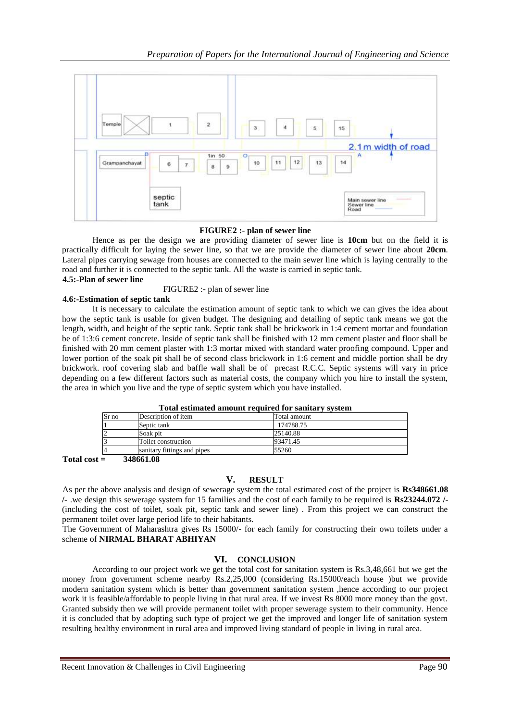

### **FIGURE2 :- plan of sewer line**

Hence as per the design we are providing diameter of sewer line is **10cm** but on the field it is practically difficult for laying the sewer line, so that we are provide the diameter of sewer line about **20cm**. Lateral pipes carrying sewage from houses are connected to the main sewer line which is laying centrally to the road and further it is connected to the septic tank. All the waste is carried in septic tank.

#### **4.5:-Plan of sewer line**

FIGURE2 :- plan of sewer line

### **4.6:-Estimation of septic tank**

It is necessary to calculate the estimation amount of septic tank to which we can gives the idea about how the septic tank is usable for given budget. The designing and detailing of septic tank means we got the length, width, and height of the septic tank. Septic tank shall be brickwork in 1:4 cement mortar and foundation be of 1:3:6 cement concrete. Inside of septic tank shall be finished with 12 mm cement plaster and floor shall be finished with 20 mm cement plaster with 1:3 mortar mixed with standard water proofing compound. Upper and lower portion of the soak pit shall be of second class brickwork in 1:6 cement and middle portion shall be dry brickwork. roof covering slab and baffle wall shall be of precast R.C.C. Septic systems will vary in price depending on a few different factors such as material costs, the company which you hire to install the system, the area in which you live and the type of septic system which you have installed.

| Tutal estimated amount required for saintary system |                             |              |
|-----------------------------------------------------|-----------------------------|--------------|
| Sr no                                               | Description of item         | Total amount |
|                                                     | Septic tank                 | 174788.75    |
|                                                     | Soak pit                    | 25140.88     |
|                                                     | Toilet construction         | 93471.45     |
|                                                     | sanitary fittings and pipes | 55260        |

## **Total estimated amount required for sanitary system**

**Total cost = 348661.08** 

### **V. RESULT**

As per the above analysis and design of sewerage system the total estimated cost of the project is **Rs348661.08 /-** .we design this sewerage system for 15 families and the cost of each family to be required is **Rs23244.072 /-** (including the cost of toilet, soak pit, septic tank and sewer line) . From this project we can construct the permanent toilet over large period life to their habitants.

The Government of Maharashtra gives Rs 15000/- for each family for constructing their own toilets under a scheme of **NIRMAL BHARAT ABHIYAN**

# **VI. CONCLUSION**

According to our project work we get the total cost for sanitation system is Rs.3,48,661 but we get the money from government scheme nearby Rs.2,25,000 (considering Rs.15000/each house )but we provide modern sanitation system which is better than government sanitation system ,hence according to our project work it is feasible/affordable to people living in that rural area. If we invest Rs 8000 more money than the govt. Granted subsidy then we will provide permanent toilet with proper sewerage system to their community. Hence it is concluded that by adopting such type of project we get the improved and longer life of sanitation system resulting healthy environment in rural area and improved living standard of people in living in rural area.